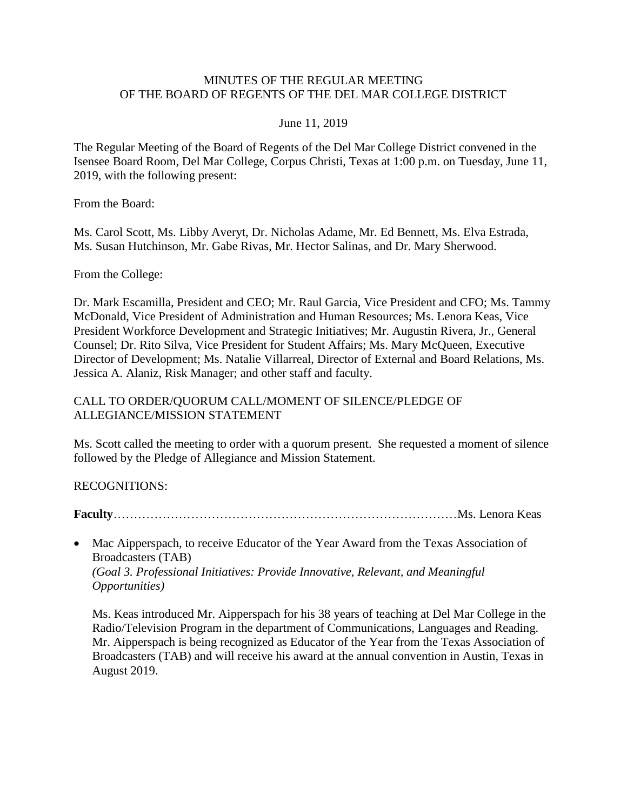### MINUTES OF THE REGULAR MEETING OF THE BOARD OF REGENTS OF THE DEL MAR COLLEGE DISTRICT

#### June 11, 2019

The Regular Meeting of the Board of Regents of the Del Mar College District convened in the Isensee Board Room, Del Mar College, Corpus Christi, Texas at 1:00 p.m. on Tuesday, June 11, 2019, with the following present:

From the Board:

Ms. Carol Scott, Ms. Libby Averyt, Dr. Nicholas Adame, Mr. Ed Bennett, Ms. Elva Estrada, Ms. Susan Hutchinson, Mr. Gabe Rivas, Mr. Hector Salinas, and Dr. Mary Sherwood.

From the College:

Dr. Mark Escamilla, President and CEO; Mr. Raul Garcia, Vice President and CFO; Ms. Tammy McDonald, Vice President of Administration and Human Resources; Ms. Lenora Keas, Vice President Workforce Development and Strategic Initiatives; Mr. Augustin Rivera, Jr., General Counsel; Dr. Rito Silva, Vice President for Student Affairs; Ms. Mary McQueen, Executive Director of Development; Ms. Natalie Villarreal, Director of External and Board Relations, Ms. Jessica A. Alaniz, Risk Manager; and other staff and faculty.

# CALL TO ORDER/QUORUM CALL/MOMENT OF SILENCE/PLEDGE OF ALLEGIANCE/MISSION STATEMENT

Ms. Scott called the meeting to order with a quorum present. She requested a moment of silence followed by the Pledge of Allegiance and Mission Statement.

# RECOGNITIONS:

**Faculty**…………………………………………………………………………Ms. Lenora Keas

• Mac Aipperspach, to receive Educator of the Year Award from the Texas Association of Broadcasters (TAB) *(Goal 3. Professional Initiatives: Provide Innovative, Relevant, and Meaningful Opportunities)*

Ms. Keas introduced Mr. Aipperspach for his 38 years of teaching at Del Mar College in the Radio/Television Program in the department of Communications, Languages and Reading. Mr. Aipperspach is being recognized as Educator of the Year from the Texas Association of Broadcasters (TAB) and will receive his award at the annual convention in Austin, Texas in August 2019.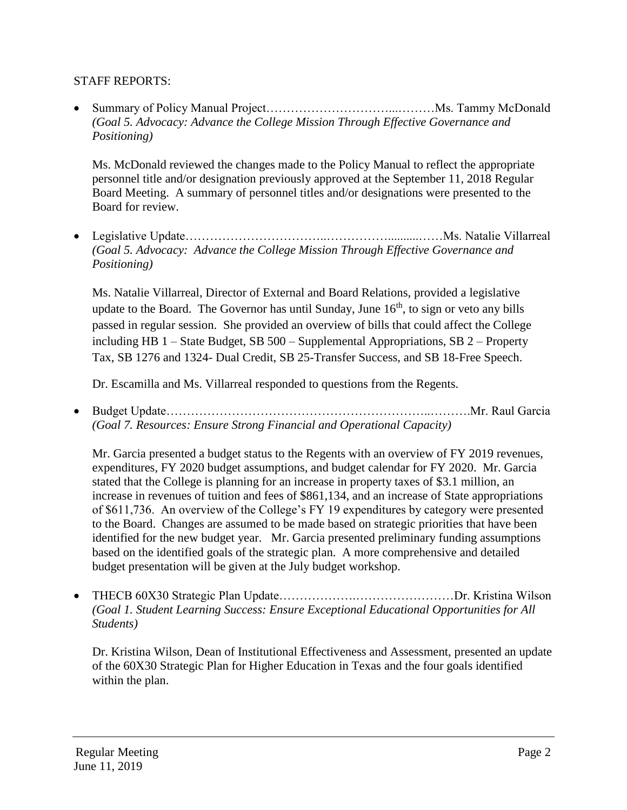# STAFF REPORTS:

 Summary of Policy Manual Project…………………………...………Ms. Tammy McDonald *(Goal 5. Advocacy: Advance the College Mission Through Effective Governance and Positioning)*

Ms. McDonald reviewed the changes made to the Policy Manual to reflect the appropriate personnel title and/or designation previously approved at the September 11, 2018 Regular Board Meeting. A summary of personnel titles and/or designations were presented to the Board for review.

 Legislative Update……………………………..……………..........……Ms. Natalie Villarreal *(Goal 5. Advocacy: Advance the College Mission Through Effective Governance and Positioning)*

Ms. Natalie Villarreal, Director of External and Board Relations, provided a legislative update to the Board. The Governor has until Sunday, June  $16<sup>th</sup>$ , to sign or veto any bills passed in regular session. She provided an overview of bills that could affect the College including HB 1 – State Budget, SB 500 – Supplemental Appropriations, SB 2 – Property Tax, SB 1276 and 1324- Dual Credit, SB 25-Transfer Success, and SB 18-Free Speech.

Dr. Escamilla and Ms. Villarreal responded to questions from the Regents.

 Budget Update………………………………………………………..……….Mr. Raul Garcia *(Goal 7. Resources: Ensure Strong Financial and Operational Capacity)*

Mr. Garcia presented a budget status to the Regents with an overview of FY 2019 revenues, expenditures, FY 2020 budget assumptions, and budget calendar for FY 2020. Mr. Garcia stated that the College is planning for an increase in property taxes of \$3.1 million, an increase in revenues of tuition and fees of \$861,134, and an increase of State appropriations of \$611,736. An overview of the College's FY 19 expenditures by category were presented to the Board. Changes are assumed to be made based on strategic priorities that have been identified for the new budget year. Mr. Garcia presented preliminary funding assumptions based on the identified goals of the strategic plan. A more comprehensive and detailed budget presentation will be given at the July budget workshop.

• THECB 60X30 Strategic Plan Update……………………………………Dr. Kristina Wilson *(Goal 1. Student Learning Success: Ensure Exceptional Educational Opportunities for All Students)*

Dr. Kristina Wilson, Dean of Institutional Effectiveness and Assessment, presented an update of the 60X30 Strategic Plan for Higher Education in Texas and the four goals identified within the plan.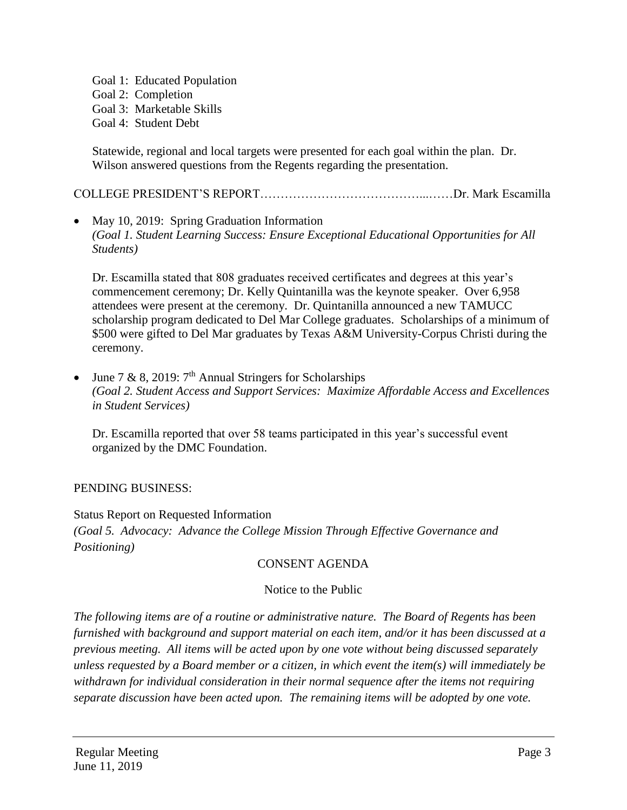Goal 1: Educated Population Goal 2: Completion Goal 3: Marketable Skills Goal 4: Student Debt

Statewide, regional and local targets were presented for each goal within the plan. Dr. Wilson answered questions from the Regents regarding the presentation.

COLLEGE PRESIDENT'S REPORT…………………………………...……Dr. Mark Escamilla

• May 10, 2019: Spring Graduation Information *(Goal 1. Student Learning Success: Ensure Exceptional Educational Opportunities for All Students)*

Dr. Escamilla stated that 808 graduates received certificates and degrees at this year's commencement ceremony; Dr. Kelly Quintanilla was the keynote speaker. Over 6,958 attendees were present at the ceremony. Dr. Quintanilla announced a new TAMUCC scholarship program dedicated to Del Mar College graduates. Scholarships of a minimum of \$500 were gifted to Del Mar graduates by Texas A&M University-Corpus Christi during the ceremony.

• June 7 & 8, 2019:  $7<sup>th</sup>$  Annual Stringers for Scholarships *(Goal 2. Student Access and Support Services: Maximize Affordable Access and Excellences in Student Services)*

Dr. Escamilla reported that over 58 teams participated in this year's successful event organized by the DMC Foundation.

# PENDING BUSINESS:

Status Report on Requested Information *(Goal 5. Advocacy: Advance the College Mission Through Effective Governance and Positioning)*

# CONSENT AGENDA

# Notice to the Public

*The following items are of a routine or administrative nature. The Board of Regents has been furnished with background and support material on each item, and/or it has been discussed at a previous meeting. All items will be acted upon by one vote without being discussed separately unless requested by a Board member or a citizen, in which event the item(s) will immediately be withdrawn for individual consideration in their normal sequence after the items not requiring separate discussion have been acted upon. The remaining items will be adopted by one vote.*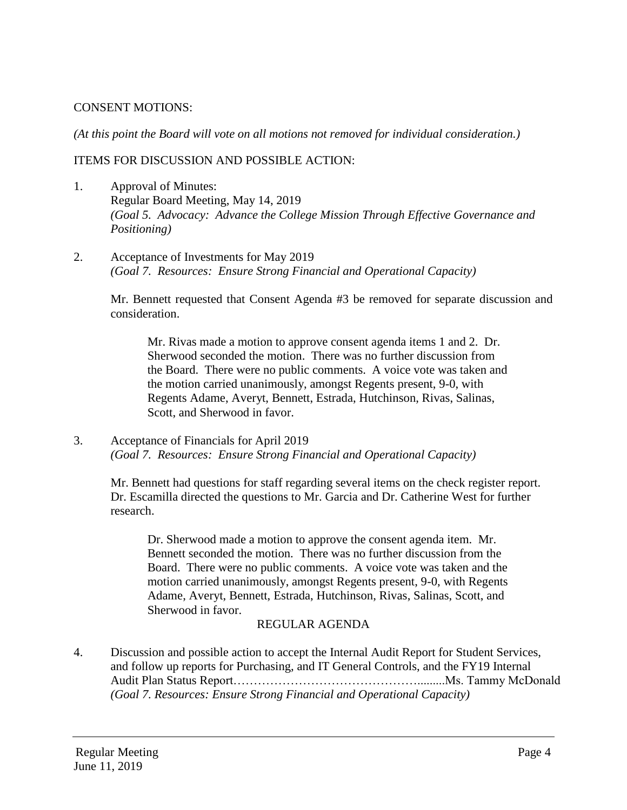### CONSENT MOTIONS:

*(At this point the Board will vote on all motions not removed for individual consideration.)* 

### ITEMS FOR DISCUSSION AND POSSIBLE ACTION:

- 1. Approval of Minutes: Regular Board Meeting, May 14, 2019 *(Goal 5. Advocacy: Advance the College Mission Through Effective Governance and Positioning)*
- 2. Acceptance of Investments for May 2019 *(Goal 7. Resources: Ensure Strong Financial and Operational Capacity)*

Mr. Bennett requested that Consent Agenda #3 be removed for separate discussion and consideration.

Mr. Rivas made a motion to approve consent agenda items 1 and 2. Dr. Sherwood seconded the motion. There was no further discussion from the Board. There were no public comments. A voice vote was taken and the motion carried unanimously, amongst Regents present, 9-0, with Regents Adame, Averyt, Bennett, Estrada, Hutchinson, Rivas, Salinas, Scott, and Sherwood in favor.

3. Acceptance of Financials for April 2019 *(Goal 7. Resources: Ensure Strong Financial and Operational Capacity)*

Mr. Bennett had questions for staff regarding several items on the check register report. Dr. Escamilla directed the questions to Mr. Garcia and Dr. Catherine West for further research.

Dr. Sherwood made a motion to approve the consent agenda item. Mr. Bennett seconded the motion. There was no further discussion from the Board. There were no public comments. A voice vote was taken and the motion carried unanimously, amongst Regents present, 9-0, with Regents Adame, Averyt, Bennett, Estrada, Hutchinson, Rivas, Salinas, Scott, and Sherwood in favor.

# REGULAR AGENDA

4. Discussion and possible action to accept the Internal Audit Report for Student Services, and follow up reports for Purchasing, and IT General Controls, and the FY19 Internal Audit Plan Status Report……………………………………….........Ms. Tammy McDonald *(Goal 7. Resources: Ensure Strong Financial and Operational Capacity)*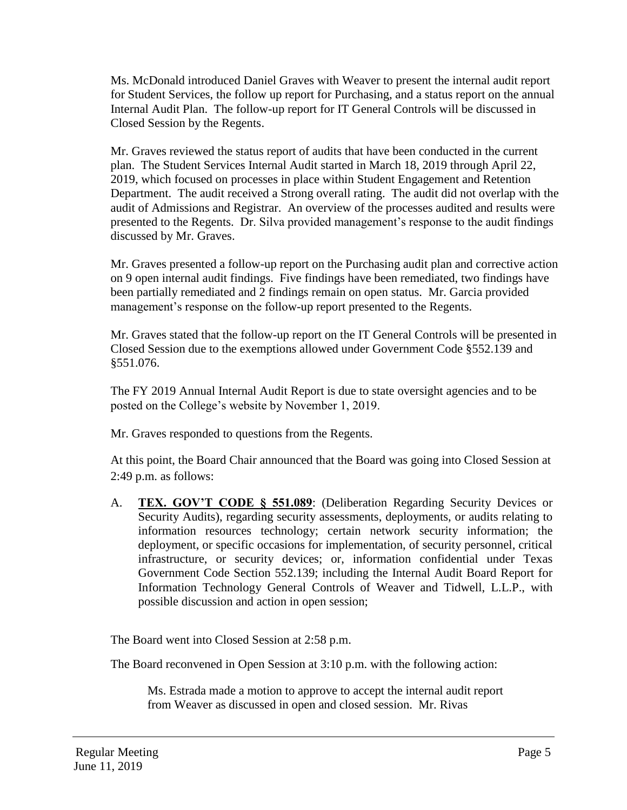Ms. McDonald introduced Daniel Graves with Weaver to present the internal audit report for Student Services, the follow up report for Purchasing, and a status report on the annual Internal Audit Plan. The follow-up report for IT General Controls will be discussed in Closed Session by the Regents.

Mr. Graves reviewed the status report of audits that have been conducted in the current plan. The Student Services Internal Audit started in March 18, 2019 through April 22, 2019, which focused on processes in place within Student Engagement and Retention Department. The audit received a Strong overall rating. The audit did not overlap with the audit of Admissions and Registrar. An overview of the processes audited and results were presented to the Regents. Dr. Silva provided management's response to the audit findings discussed by Mr. Graves.

Mr. Graves presented a follow-up report on the Purchasing audit plan and corrective action on 9 open internal audit findings. Five findings have been remediated, two findings have been partially remediated and 2 findings remain on open status. Mr. Garcia provided management's response on the follow-up report presented to the Regents.

Mr. Graves stated that the follow-up report on the IT General Controls will be presented in Closed Session due to the exemptions allowed under Government Code §552.139 and §551.076.

The FY 2019 Annual Internal Audit Report is due to state oversight agencies and to be posted on the College's website by November 1, 2019.

Mr. Graves responded to questions from the Regents.

At this point, the Board Chair announced that the Board was going into Closed Session at 2:49 p.m. as follows:

A. **TEX. GOV'T CODE § 551.089**: (Deliberation Regarding Security Devices or Security Audits), regarding security assessments, deployments, or audits relating to information resources technology; certain network security information; the deployment, or specific occasions for implementation, of security personnel, critical infrastructure, or security devices; or, information confidential under Texas Government Code Section 552.139; including the Internal Audit Board Report for Information Technology General Controls of Weaver and Tidwell, L.L.P., with possible discussion and action in open session;

The Board went into Closed Session at 2:58 p.m.

The Board reconvened in Open Session at 3:10 p.m. with the following action:

Ms. Estrada made a motion to approve to accept the internal audit report from Weaver as discussed in open and closed session. Mr. Rivas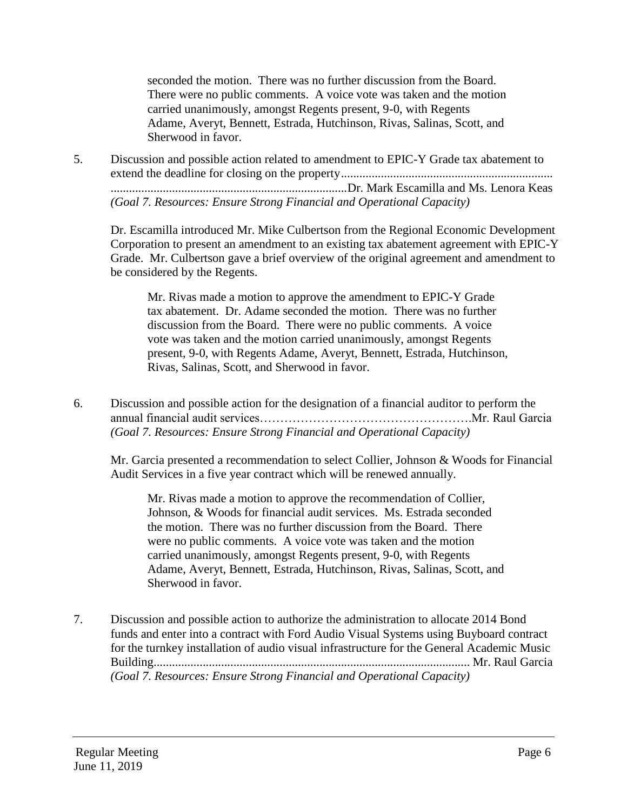seconded the motion. There was no further discussion from the Board. There were no public comments. A voice vote was taken and the motion carried unanimously, amongst Regents present, 9-0, with Regents Adame, Averyt, Bennett, Estrada, Hutchinson, Rivas, Salinas, Scott, and Sherwood in favor.

5. Discussion and possible action related to amendment to EPIC-Y Grade tax abatement to extend the deadline for closing on the property..................................................................... .............................................................................Dr. Mark Escamilla and Ms. Lenora Keas *(Goal 7. Resources: Ensure Strong Financial and Operational Capacity)*

Dr. Escamilla introduced Mr. Mike Culbertson from the Regional Economic Development Corporation to present an amendment to an existing tax abatement agreement with EPIC-Y Grade. Mr. Culbertson gave a brief overview of the original agreement and amendment to be considered by the Regents.

Mr. Rivas made a motion to approve the amendment to EPIC-Y Grade tax abatement. Dr. Adame seconded the motion. There was no further discussion from the Board. There were no public comments. A voice vote was taken and the motion carried unanimously, amongst Regents present, 9-0, with Regents Adame, Averyt, Bennett, Estrada, Hutchinson, Rivas, Salinas, Scott, and Sherwood in favor.

6. Discussion and possible action for the designation of a financial auditor to perform the annual financial audit services…………………………………………….Mr. Raul Garcia *(Goal 7. Resources: Ensure Strong Financial and Operational Capacity)*

Mr. Garcia presented a recommendation to select Collier, Johnson & Woods for Financial Audit Services in a five year contract which will be renewed annually.

Mr. Rivas made a motion to approve the recommendation of Collier, Johnson, & Woods for financial audit services. Ms. Estrada seconded the motion. There was no further discussion from the Board. There were no public comments. A voice vote was taken and the motion carried unanimously, amongst Regents present, 9-0, with Regents Adame, Averyt, Bennett, Estrada, Hutchinson, Rivas, Salinas, Scott, and Sherwood in favor.

7. Discussion and possible action to authorize the administration to allocate 2014 Bond funds and enter into a contract with Ford Audio Visual Systems using Buyboard contract for the turnkey installation of audio visual infrastructure for the General Academic Music Building....................................................................................................... Mr. Raul Garcia *(Goal 7. Resources: Ensure Strong Financial and Operational Capacity)*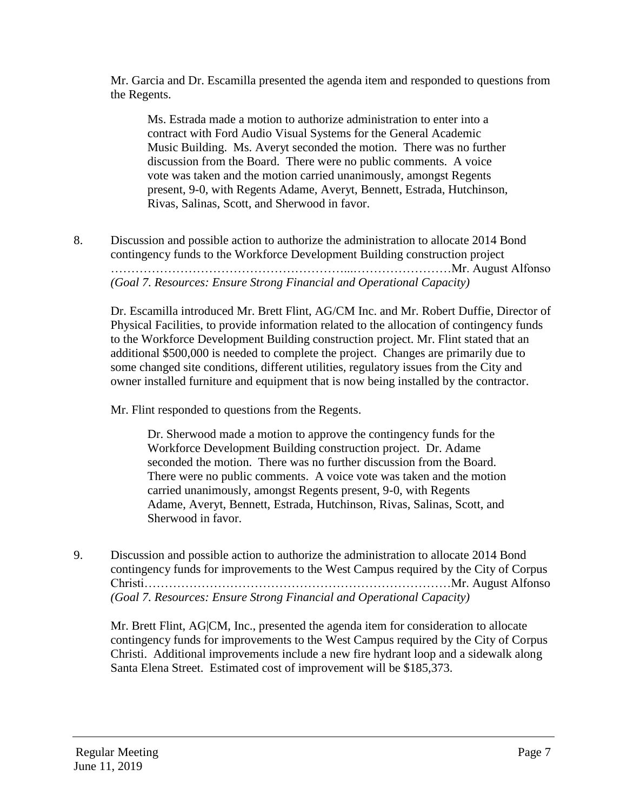Mr. Garcia and Dr. Escamilla presented the agenda item and responded to questions from the Regents.

Ms. Estrada made a motion to authorize administration to enter into a contract with Ford Audio Visual Systems for the General Academic Music Building. Ms. Averyt seconded the motion. There was no further discussion from the Board. There were no public comments. A voice vote was taken and the motion carried unanimously, amongst Regents present, 9-0, with Regents Adame, Averyt, Bennett, Estrada, Hutchinson, Rivas, Salinas, Scott, and Sherwood in favor.

8. Discussion and possible action to authorize the administration to allocate 2014 Bond contingency funds to the Workforce Development Building construction project …………………………………………………...……………………Mr. August Alfonso *(Goal 7. Resources: Ensure Strong Financial and Operational Capacity)*

Dr. Escamilla introduced Mr. Brett Flint, AG/CM Inc. and Mr. Robert Duffie, Director of Physical Facilities, to provide information related to the allocation of contingency funds to the Workforce Development Building construction project. Mr. Flint stated that an additional \$500,000 is needed to complete the project. Changes are primarily due to some changed site conditions, different utilities, regulatory issues from the City and owner installed furniture and equipment that is now being installed by the contractor.

Mr. Flint responded to questions from the Regents.

Dr. Sherwood made a motion to approve the contingency funds for the Workforce Development Building construction project. Dr. Adame seconded the motion. There was no further discussion from the Board. There were no public comments. A voice vote was taken and the motion carried unanimously, amongst Regents present, 9-0, with Regents Adame, Averyt, Bennett, Estrada, Hutchinson, Rivas, Salinas, Scott, and Sherwood in favor.

9. Discussion and possible action to authorize the administration to allocate 2014 Bond contingency funds for improvements to the West Campus required by the City of Corpus Christi…………………………………………………………………Mr. August Alfonso *(Goal 7. Resources: Ensure Strong Financial and Operational Capacity)*

Mr. Brett Flint, AG|CM, Inc., presented the agenda item for consideration to allocate contingency funds for improvements to the West Campus required by the City of Corpus Christi. Additional improvements include a new fire hydrant loop and a sidewalk along Santa Elena Street. Estimated cost of improvement will be \$185,373.